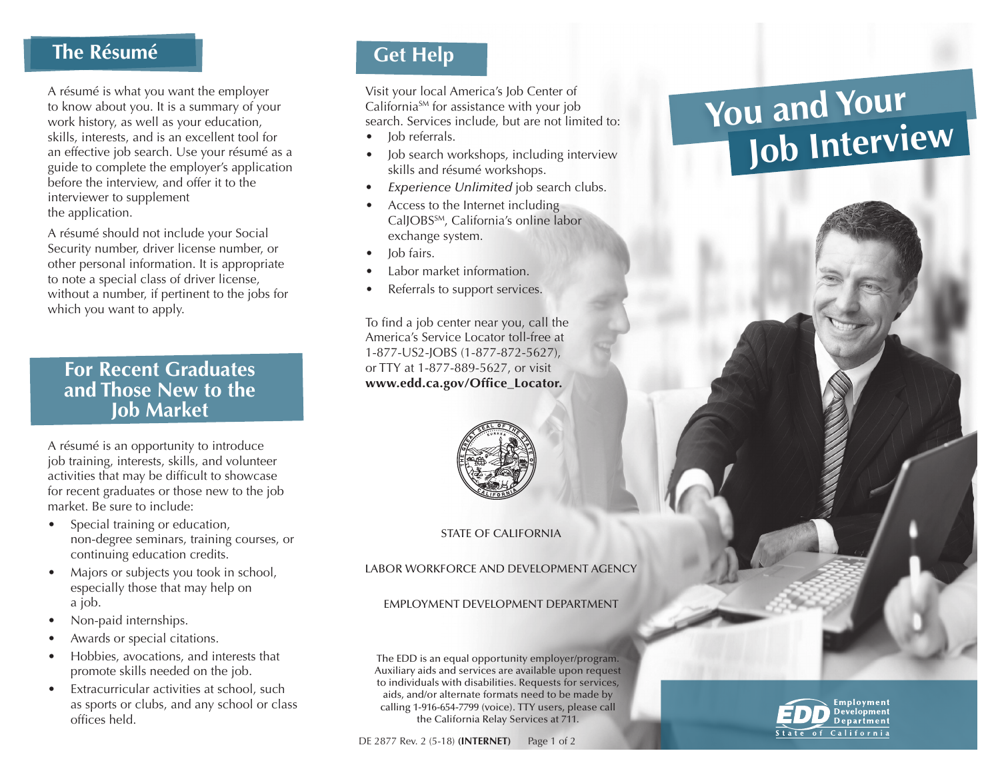# **The Résumé**

A résumé is what you want the employer to know about you. It is a summary of your work history, as well as your education, skills, interests, and is an excellent tool for an effective job search. Use your résumé as a guide to complete the employer's application before the interview, and offer it to the interviewer to supplement the application.

A résumé should not include your Social Security number, driver license number, or other personal information. It is appropriate to note a special class of driver license, without a number, if pertinent to the jobs for which you want to apply.

#### **For Recent Graduates and Those New to the Job Market**

A résumé is an opportunity to introduce job training, interests, skills, and volunteer activities that may be difficult to showcase for recent graduates or those new to the job market. Be sure to include:

- Special training or education, non-degree seminars, training courses, or continuing education credits.
- Majors or subjects you took in school, especially those that may help on a job.
- Non-paid internships.
- Awards or special citations.
- Hobbies, avocations, and interests that promote skills needed on the job.
- Extracurricular activities at school, such as sports or clubs, and any school or class offices held.

## **Get Help**

Visit your local America's Job Center of California<sup>SM</sup> for assistance with your job search. Services include, but are not limited to:

- Job referrals.
- Job search workshops, including interview skills and résumé workshops.
- *Experience Unlimited* job search clubs.
- Access to the Internet including CalJOBS<sup>SM</sup>, California's online labor exchange system.
- Job fairs.
- Labor market information.
- Referrals to support services.

To find a job center near you, call the America's Service Locator toll-free at 1-877-US2-JOBS (1-877-872-5627), or TTY at 1-877-889-5627, or visit **[www.edd.ca.gov/Office\\_Locator.](www.edd.ca.gov/Office_Locator)**



#### STATE OF CALIFORNIA

LABOR WORKFORCE AND DEVELOPMENT AGENCY

#### EMPLOYMENT DEVELOPMENT DEPARTMENT

The EDD is an equal opportunity employer/program. Auxiliary aids and services are available upon request to individuals with disabilities. Requests for services, aids, and/or alternate formats need to be made by calling 1-916-654-7799 (voice). TTY users, please call the California Relay Services at 711.

# **You and Your Job Interview**